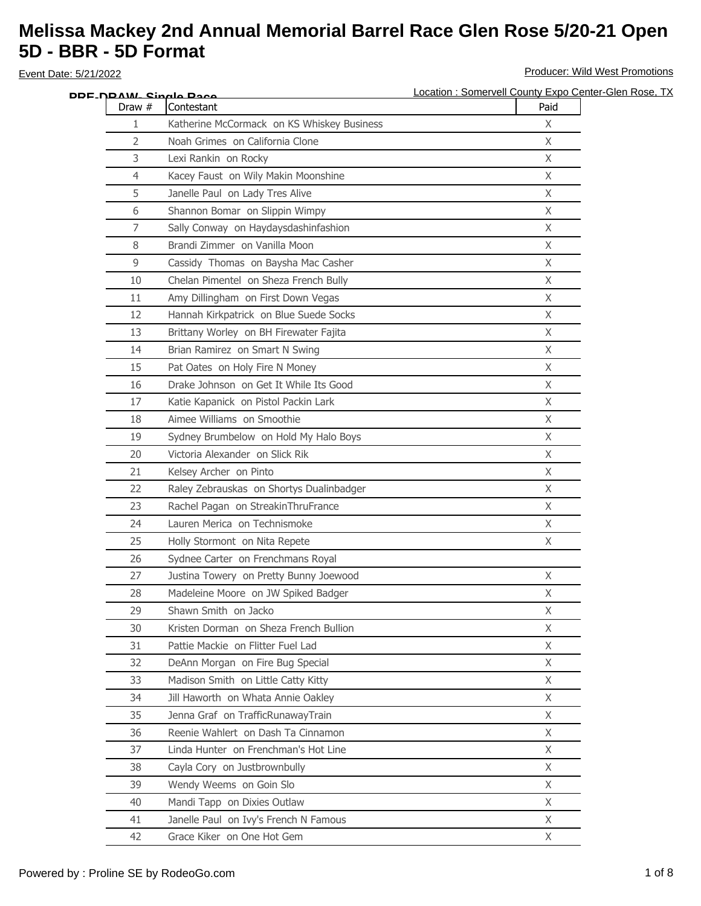| DDE_N <u>DAW_ Sinalo Paco</u> |                                            | Location : Somervell County Expo Center-Glen Rose, TX |
|-------------------------------|--------------------------------------------|-------------------------------------------------------|
| Draw #                        | Contestant                                 | Paid                                                  |
| 1                             | Katherine McCormack on KS Whiskey Business | X                                                     |
| 2                             | Noah Grimes on California Clone            | $\mathsf X$                                           |
| 3                             | Lexi Rankin on Rocky                       | X                                                     |
| 4                             | Kacey Faust on Wily Makin Moonshine        | X                                                     |
| 5                             | Janelle Paul on Lady Tres Alive            | X                                                     |
| 6                             | Shannon Bomar on Slippin Wimpy             | $\mathsf{X}$                                          |
| 7                             | Sally Conway on Haydaysdashinfashion       | X                                                     |
| 8                             | Brandi Zimmer on Vanilla Moon              | X                                                     |
| 9                             | Cassidy Thomas on Baysha Mac Casher        | $\mathsf{X}$                                          |
| 10                            | Chelan Pimentel on Sheza French Bully      | X                                                     |
| 11                            | Amy Dillingham on First Down Vegas         | X                                                     |
| 12                            | Hannah Kirkpatrick on Blue Suede Socks     | X                                                     |
| 13                            | Brittany Worley on BH Firewater Fajita     | X                                                     |
| 14                            | Brian Ramirez on Smart N Swing             | X                                                     |
| 15                            | Pat Oates on Holy Fire N Money             | X                                                     |
| 16                            | Drake Johnson on Get It While Its Good     | X                                                     |
| 17                            | Katie Kapanick on Pistol Packin Lark       | $\mathsf{X}$                                          |
| 18                            | Aimee Williams on Smoothie                 | X                                                     |
| 19                            | Sydney Brumbelow on Hold My Halo Boys      | X                                                     |
| 20                            | Victoria Alexander on Slick Rik            | X                                                     |
| 21                            | Kelsey Archer on Pinto                     | $\mathsf{X}$                                          |
| 22                            | Raley Zebrauskas on Shortys Dualinbadger   | X                                                     |
| 23                            | Rachel Pagan on StreakinThruFrance         | $\mathsf{X}$                                          |
| 24                            | Lauren Merica on Technismoke               | $\mathsf{X}$                                          |
| 25                            | Holly Stormont on Nita Repete              | X                                                     |
| 26                            | Sydnee Carter on Frenchmans Royal          |                                                       |
| 27                            | Justina Towery on Pretty Bunny Joewood     | X                                                     |
| 28                            | Madeleine Moore on JW Spiked Badger        | X                                                     |
| 29                            | Shawn Smith on Jacko                       | X.                                                    |
| 30                            | Kristen Dorman on Sheza French Bullion     | X                                                     |
| 31                            | Pattie Mackie on Flitter Fuel Lad          | X                                                     |
| 32                            | DeAnn Morgan on Fire Bug Special           | $\mathsf{X}$                                          |
| 33                            | Madison Smith on Little Catty Kitty        | X                                                     |
| 34                            | Jill Haworth on Whata Annie Oakley         | $\chi$                                                |
| 35                            | Jenna Graf on TrafficRunawayTrain          | X                                                     |
| 36                            | Reenie Wahlert on Dash Ta Cinnamon         | X                                                     |
| 37                            | Linda Hunter on Frenchman's Hot Line       | X                                                     |
| 38                            | Cayla Cory on Justbrownbully               | X                                                     |
| 39                            | Wendy Weems on Goin Slo                    | $\mathsf{X}$                                          |
| 40                            | Mandi Tapp on Dixies Outlaw                | X                                                     |
| 41                            | Janelle Paul on Ivy's French N Famous      | X                                                     |
| 42                            | Grace Kiker on One Hot Gem                 | X                                                     |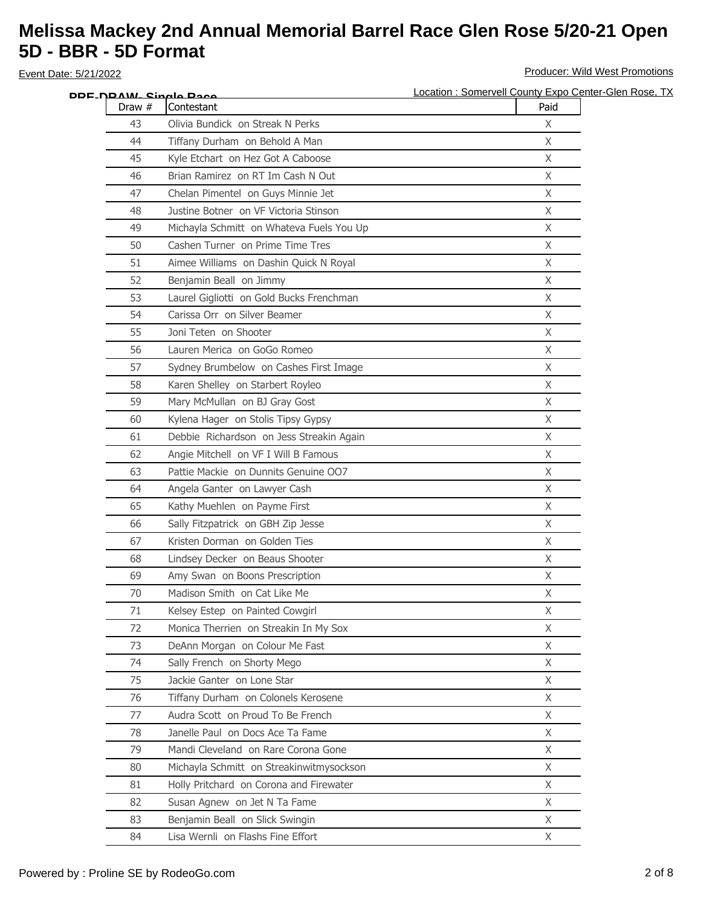| Location : Somervell County Expo Center-Glen Rose, TX |
|-------------------------------------------------------|
|                                                       |
|                                                       |
|                                                       |
|                                                       |
|                                                       |
|                                                       |
|                                                       |
|                                                       |
|                                                       |
|                                                       |
|                                                       |
|                                                       |
|                                                       |
|                                                       |
|                                                       |
|                                                       |
|                                                       |
|                                                       |
|                                                       |
|                                                       |
|                                                       |
|                                                       |
|                                                       |
|                                                       |
|                                                       |
|                                                       |
|                                                       |
|                                                       |
|                                                       |
|                                                       |
|                                                       |
|                                                       |
|                                                       |
|                                                       |
|                                                       |
|                                                       |
|                                                       |
|                                                       |
|                                                       |
|                                                       |
|                                                       |
|                                                       |
|                                                       |
|                                                       |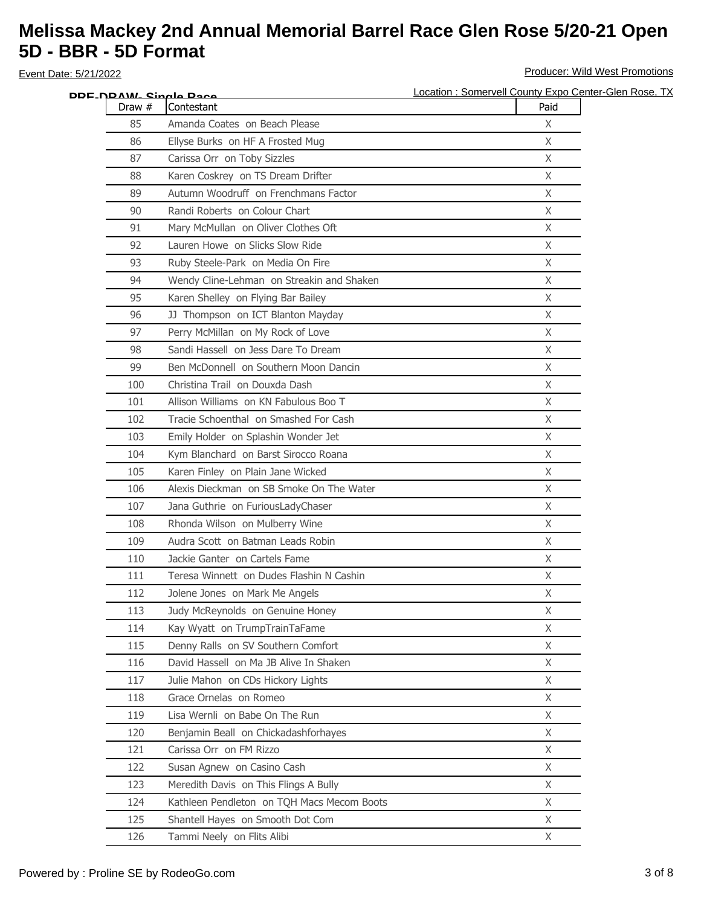|        | DDF_N <u>DAW_Single Pace</u>               | Location: Somervell County Expo Center-Glen Rose, TX |
|--------|--------------------------------------------|------------------------------------------------------|
| Draw # | Contestant                                 | Paid                                                 |
| 85     | Amanda Coates on Beach Please              | X                                                    |
| 86     | Ellyse Burks on HF A Frosted Mug           | X                                                    |
| 87     | Carissa Orr on Toby Sizzles                | X                                                    |
| 88     | Karen Coskrey on TS Dream Drifter          | $\mathsf{X}$                                         |
| 89     | Autumn Woodruff on Frenchmans Factor       | X                                                    |
| 90     | Randi Roberts on Colour Chart              | X                                                    |
| 91     | Mary McMullan on Oliver Clothes Oft        | X                                                    |
| 92     | Lauren Howe on Slicks Slow Ride            | X                                                    |
| 93     | Ruby Steele-Park on Media On Fire          | X                                                    |
| 94     | Wendy Cline-Lehman on Streakin and Shaken  | X                                                    |
| 95     | Karen Shelley on Flying Bar Bailey         | $\mathsf{X}$                                         |
| 96     | JJ Thompson on ICT Blanton Mayday          | X                                                    |
| 97     | Perry McMillan on My Rock of Love          | X                                                    |
| 98     | Sandi Hassell on Jess Dare To Dream        | X                                                    |
| 99     | Ben McDonnell on Southern Moon Dancin      | X                                                    |
| 100    | Christina Trail on Douxda Dash             | X                                                    |
| 101    | Allison Williams on KN Fabulous Boo T      | X                                                    |
| 102    | Tracie Schoenthal on Smashed For Cash      | X                                                    |
| 103    | Emily Holder on Splashin Wonder Jet        | X                                                    |
| 104    | Kym Blanchard on Barst Sirocco Roana       | X                                                    |
| 105    | Karen Finley on Plain Jane Wicked          | X                                                    |
| 106    | Alexis Dieckman on SB Smoke On The Water   | X                                                    |
| 107    | Jana Guthrie on FuriousLadyChaser          | X                                                    |
| 108    | Rhonda Wilson on Mulberry Wine             | X                                                    |
| 109    | Audra Scott on Batman Leads Robin          | X                                                    |
| 110    | Jackie Ganter on Cartels Fame              | X                                                    |
| 111    | Teresa Winnett on Dudes Flashin N Cashin   | X                                                    |
| 112    | Jolene Jones on Mark Me Angels             | X                                                    |
| 113    | Judy McReynolds on Genuine Honey           | X                                                    |
| 114    | Kay Wyatt on TrumpTrainTaFame              | X                                                    |
| 115    | Denny Ralls on SV Southern Comfort         | X                                                    |
| 116    | David Hassell on Ma JB Alive In Shaken     | $\mathsf{X}$                                         |
| 117    | Julie Mahon on CDs Hickory Lights          | X                                                    |
| 118    | Grace Ornelas on Romeo                     | $\chi$                                               |
| 119    | Lisa Wernli on Babe On The Run             | $\chi$                                               |
| 120    | Benjamin Beall on Chickadashforhayes       | X                                                    |
| 121    | Carissa Orr on FM Rizzo                    | X                                                    |
| 122    | Susan Agnew on Casino Cash                 | X                                                    |
| 123    | Meredith Davis on This Flings A Bully      | $\mathsf{X}$                                         |
| 124    | Kathleen Pendleton on TQH Macs Mecom Boots | X                                                    |
| 125    | Shantell Hayes on Smooth Dot Com           | $\mathsf{X}$                                         |
| 126    | Tammi Neely on Flits Alibi                 | X                                                    |
|        |                                            |                                                      |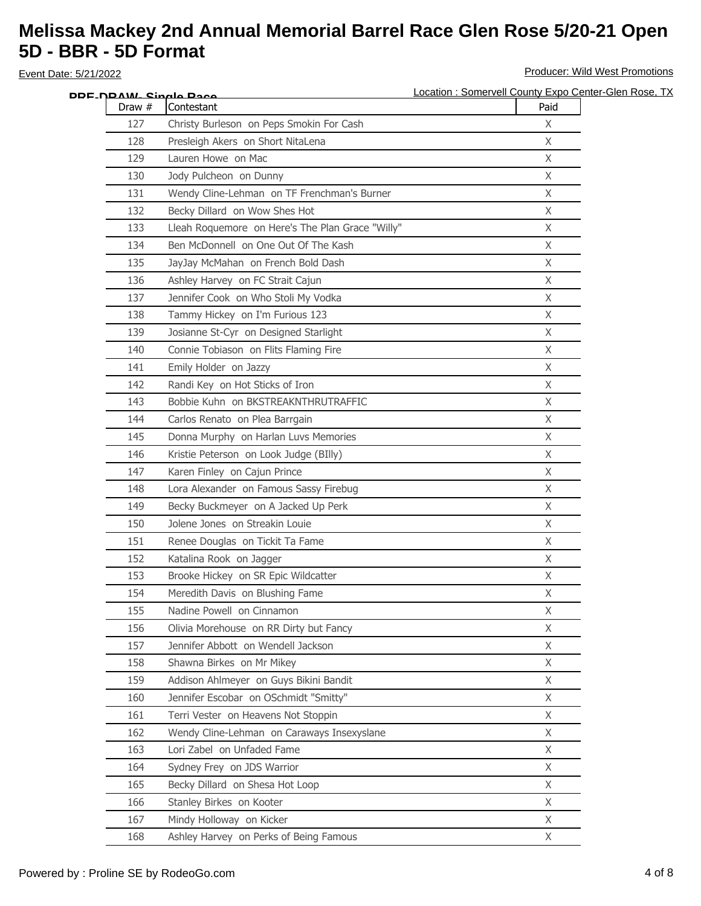| DDE_N <u>DAW_ Singlo Daco</u> |                                                                                          | Location: Somervell County Expo Center-Glen Rose, TX<br>Paid |
|-------------------------------|------------------------------------------------------------------------------------------|--------------------------------------------------------------|
| Draw #<br>127                 | Contestant<br>Christy Burleson on Peps Smokin For Cash                                   | X                                                            |
| 128                           | Presleigh Akers on Short NitaLena                                                        | X                                                            |
| 129                           | Lauren Howe on Mac                                                                       | X                                                            |
| 130                           | Jody Pulcheon on Dunny                                                                   | X                                                            |
|                               |                                                                                          | X                                                            |
| 131<br>132                    | Wendy Cline-Lehman on TF Frenchman's Burner                                              | X                                                            |
|                               | Becky Dillard on Wow Shes Hot                                                            |                                                              |
| 133                           | Lleah Roquemore on Here's The Plan Grace "Willy"<br>Ben McDonnell on One Out Of The Kash | X                                                            |
| 134                           |                                                                                          | X                                                            |
| 135                           | JayJay McMahan on French Bold Dash                                                       | X                                                            |
| 136                           | Ashley Harvey on FC Strait Cajun                                                         | X                                                            |
| 137                           | Jennifer Cook on Who Stoli My Vodka                                                      | X                                                            |
| 138                           | Tammy Hickey on I'm Furious 123                                                          | X                                                            |
| 139                           | Josianne St-Cyr on Designed Starlight                                                    | X                                                            |
| 140                           | Connie Tobiason on Flits Flaming Fire                                                    | X                                                            |
| 141                           | Emily Holder on Jazzy                                                                    | X                                                            |
| 142                           | Randi Key on Hot Sticks of Iron                                                          | X                                                            |
| 143                           | Bobbie Kuhn on BKSTREAKNTHRUTRAFFIC                                                      | X                                                            |
| 144                           | Carlos Renato on Plea Barrgain                                                           | X                                                            |
| 145                           | Donna Murphy on Harlan Luvs Memories                                                     | X                                                            |
| 146                           | Kristie Peterson on Look Judge (BIlly)                                                   | X                                                            |
| 147                           | Karen Finley on Cajun Prince                                                             | X                                                            |
| 148                           | Lora Alexander on Famous Sassy Firebug                                                   | X                                                            |
| 149                           | Becky Buckmeyer on A Jacked Up Perk                                                      | X                                                            |
| 150                           | Jolene Jones on Streakin Louie                                                           | X                                                            |
| 151                           | Renee Douglas on Tickit Ta Fame                                                          | X                                                            |
| 152                           | Katalina Rook on Jagger                                                                  | X                                                            |
| 153                           | Brooke Hickey on SR Epic Wildcatter                                                      | X                                                            |
| 154                           | Meredith Davis on Blushing Fame                                                          | $\mathsf{X}$                                                 |
| 155                           | Nadine Powell on Cinnamon                                                                | X                                                            |
| 156                           | Olivia Morehouse on RR Dirty but Fancy                                                   | X                                                            |
| 157                           | Jennifer Abbott on Wendell Jackson                                                       | X                                                            |
| 158                           | Shawna Birkes on Mr Mikey                                                                | X                                                            |
| 159                           | Addison Ahlmeyer on Guys Bikini Bandit                                                   | X                                                            |
| 160                           | Jennifer Escobar on OSchmidt "Smitty"                                                    | X                                                            |
| 161                           | Terri Vester on Heavens Not Stoppin                                                      | $\mathsf{X}$                                                 |
| 162                           | Wendy Cline-Lehman on Caraways Insexyslane                                               | $\chi$                                                       |
| 163                           | Lori Zabel on Unfaded Fame                                                               | X                                                            |
| 164                           | Sydney Frey on JDS Warrior                                                               | X                                                            |
| 165                           | Becky Dillard on Shesa Hot Loop                                                          | X                                                            |
| 166                           | Stanley Birkes on Kooter                                                                 | X                                                            |
| 167                           | Mindy Holloway on Kicker                                                                 | $\mathsf X$                                                  |
| 168                           | Ashley Harvey on Perks of Being Famous                                                   | X                                                            |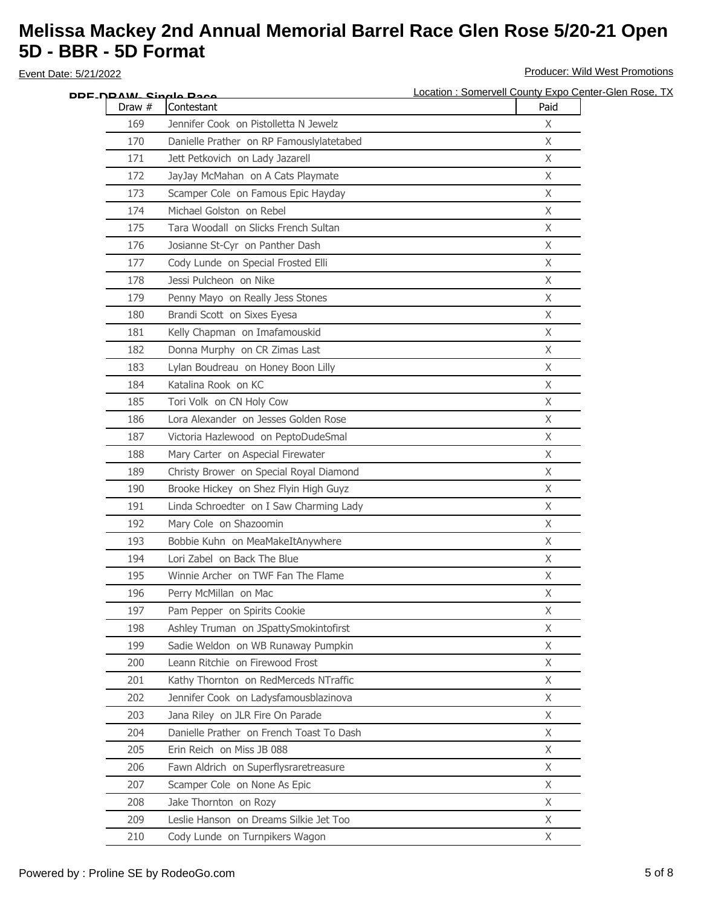| DRE <sub>-</sub> NRAW- Single Race |                                          | Location : Somervell County Expo Center-Glen Rose, TX |
|------------------------------------|------------------------------------------|-------------------------------------------------------|
| Draw $#$                           | Contestant                               | Paid                                                  |
| 169                                | Jennifer Cook on Pistolletta N Jewelz    | X                                                     |
| 170                                | Danielle Prather on RP Famouslylatetabed | $\mathsf X$                                           |
| 171                                | Jett Petkovich on Lady Jazarell          | $\mathsf X$                                           |
| 172                                | JayJay McMahan on A Cats Playmate        | X                                                     |
| 173                                | Scamper Cole on Famous Epic Hayday       | X                                                     |
| 174                                | Michael Golston on Rebel                 | $\mathsf{X}$                                          |
| 175                                | Tara Woodall on Slicks French Sultan     | X                                                     |
| 176                                | Josianne St-Cyr on Panther Dash          | X                                                     |
| 177                                | Cody Lunde on Special Frosted Elli       | $\mathsf{X}$                                          |
| 178                                | Jessi Pulcheon on Nike                   | X                                                     |
| 179                                | Penny Mayo on Really Jess Stones         | X                                                     |
| 180                                | Brandi Scott on Sixes Eyesa              | X                                                     |
| 181                                | Kelly Chapman on Imafamouskid            | X                                                     |
| 182                                | Donna Murphy on CR Zimas Last            | X                                                     |
| 183                                | Lylan Boudreau on Honey Boon Lilly       | X                                                     |
| 184                                | Katalina Rook on KC                      | X                                                     |
| 185                                | Tori Volk on CN Holy Cow                 | $\mathsf{X}$                                          |
| 186                                | Lora Alexander on Jesses Golden Rose     | $\mathsf X$                                           |
| 187                                | Victoria Hazlewood on PeptoDudeSmal      | X                                                     |
| 188                                | Mary Carter on Aspecial Firewater        | X                                                     |
| 189                                | Christy Brower on Special Royal Diamond  | $\mathsf{X}$                                          |
| 190                                | Brooke Hickey on Shez Flyin High Guyz    | X                                                     |
| 191                                | Linda Schroedter on I Saw Charming Lady  | $\mathsf{X}$                                          |
| 192                                | Mary Cole on Shazoomin                   | X                                                     |
| 193                                | Bobbie Kuhn on MeaMakeItAnywhere         | X                                                     |
| 194                                | Lori Zabel on Back The Blue              | X                                                     |
| 195                                | Winnie Archer on TWF Fan The Flame       | X                                                     |
| 196                                | Perry McMillan on Mac                    | X                                                     |
| 197                                | Pam Pepper on Spirits Cookie             | X.                                                    |
| 198                                | Ashley Truman on JSpattySmokintofirst    | X                                                     |
| 199                                | Sadie Weldon on WB Runaway Pumpkin       | X                                                     |
| 200                                | Leann Ritchie on Firewood Frost          | $\mathsf{X}$                                          |
| 201                                | Kathy Thornton on RedMerceds NTraffic    | X                                                     |
| 202                                | Jennifer Cook on Ladysfamousblazinova    | $\chi$                                                |
| 203                                | Jana Riley on JLR Fire On Parade         | X                                                     |
| 204                                | Danielle Prather on French Toast To Dash | X                                                     |
| 205                                | Erin Reich on Miss JB 088                | X                                                     |
| 206                                | Fawn Aldrich on Superflysraretreasure    | X                                                     |
| 207                                | Scamper Cole on None As Epic             | $\mathsf{X}$                                          |
| 208                                | Jake Thornton on Rozy                    | X                                                     |
| 209                                | Leslie Hanson on Dreams Silkie Jet Too   | $\mathsf{X}$                                          |
| 210                                | Cody Lunde on Turnpikers Wagon           | X                                                     |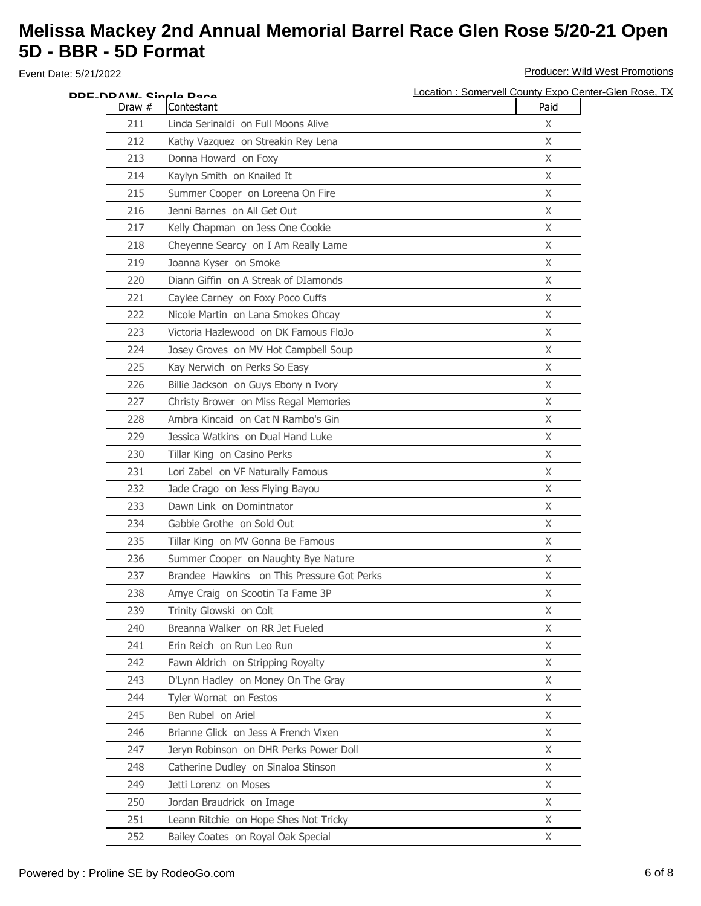| DDF_N <u>DAW_Single Pace</u> |                                            | Location: Somervell County Expo Center-Glen Rose, TX |
|------------------------------|--------------------------------------------|------------------------------------------------------|
| Draw #                       | Contestant                                 | Paid                                                 |
| 211                          | Linda Serinaldi on Full Moons Alive        | X                                                    |
| 212                          | Kathy Vazquez on Streakin Rey Lena         | X                                                    |
| 213                          | Donna Howard on Foxy                       | X                                                    |
| 214                          | Kaylyn Smith on Knailed It                 | $\mathsf{X}$                                         |
| 215                          | Summer Cooper on Loreena On Fire           | Χ                                                    |
| 216                          | Jenni Barnes on All Get Out                | X                                                    |
| 217                          | Kelly Chapman on Jess One Cookie           | X                                                    |
| 218                          | Cheyenne Searcy on I Am Really Lame        | X                                                    |
| 219                          | Joanna Kyser on Smoke                      | X                                                    |
| 220                          | Diann Giffin on A Streak of DIamonds       | X                                                    |
| 221                          | Caylee Carney on Foxy Poco Cuffs           | $\mathsf{X}$                                         |
| 222                          | Nicole Martin on Lana Smokes Ohcay         | X                                                    |
| 223                          | Victoria Hazlewood on DK Famous FloJo      | X                                                    |
| 224                          | Josey Groves on MV Hot Campbell Soup       | X                                                    |
| 225                          | Kay Nerwich on Perks So Easy               | X                                                    |
| 226                          | Billie Jackson on Guys Ebony n Ivory       | X                                                    |
| 227                          | Christy Brower on Miss Regal Memories      | X                                                    |
| 228                          | Ambra Kincaid on Cat N Rambo's Gin         | X                                                    |
| 229                          | Jessica Watkins on Dual Hand Luke          | X                                                    |
| 230                          | Tillar King on Casino Perks                | X                                                    |
| 231                          | Lori Zabel on VF Naturally Famous          | X                                                    |
| 232                          | Jade Crago on Jess Flying Bayou            | X                                                    |
| 233                          | Dawn Link on Domintnator                   | X                                                    |
| 234                          | Gabbie Grothe on Sold Out                  | X                                                    |
| 235                          | Tillar King on MV Gonna Be Famous          | X                                                    |
| 236                          | Summer Cooper on Naughty Bye Nature        | X                                                    |
| 237                          | Brandee Hawkins on This Pressure Got Perks | X                                                    |
| 238                          | Amye Craig on Scootin Ta Fame 3P           | X                                                    |
| 239                          | Trinity Glowski on Colt                    | X                                                    |
| 240                          | Breanna Walker on RR Jet Fueled            | X                                                    |
| 241                          | Erin Reich on Run Leo Run                  | X                                                    |
| 242                          | Fawn Aldrich on Stripping Royalty          | $\mathsf{X}$                                         |
| 243                          | D'Lynn Hadley on Money On The Gray         | X                                                    |
| 244                          | Tyler Wornat on Festos                     | X                                                    |
| 245                          | Ben Rubel on Ariel                         | X                                                    |
| 246                          | Brianne Glick on Jess A French Vixen       | X                                                    |
| 247                          | Jeryn Robinson on DHR Perks Power Doll     | X                                                    |
| 248                          | Catherine Dudley on Sinaloa Stinson        | X                                                    |
| 249                          | Jetti Lorenz on Moses                      | $\mathsf{X}$                                         |
| 250                          | Jordan Braudrick on Image                  | X                                                    |
| 251                          | Leann Ritchie on Hope Shes Not Tricky      | $\mathsf{X}$                                         |
| 252                          | Bailey Coates on Royal Oak Special         | X                                                    |
|                              |                                            |                                                      |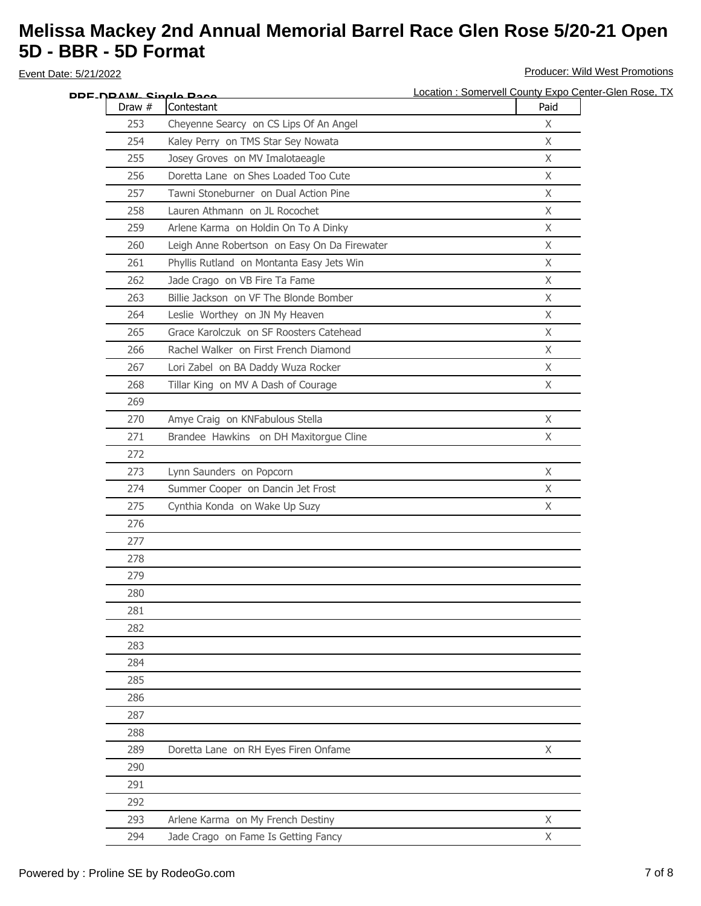|          | DDF_N <u>DAW. Single Pace</u>                | Location: Somervell County Expo Center-Glen Rose, TX |
|----------|----------------------------------------------|------------------------------------------------------|
| Draw $#$ | Contestant                                   | Paid                                                 |
| 253      | Cheyenne Searcy on CS Lips Of An Angel       | $\mathsf{X}$                                         |
| 254      | Kaley Perry on TMS Star Sey Nowata           | X                                                    |
| 255      | Josey Groves on MV Imalotaeagle              | X                                                    |
| 256      | Doretta Lane on Shes Loaded Too Cute         | X                                                    |
| 257      | Tawni Stoneburner on Dual Action Pine        | X                                                    |
| 258      | Lauren Athmann on JL Rocochet                | $\mathsf{X}$                                         |
| 259      | Arlene Karma on Holdin On To A Dinky         | X                                                    |
| 260      | Leigh Anne Robertson on Easy On Da Firewater | $\mathsf{X}$                                         |
| 261      | Phyllis Rutland on Montanta Easy Jets Win    | $\mathsf{X}$                                         |
| 262      | Jade Crago on VB Fire Ta Fame                | X                                                    |
| 263      | Billie Jackson on VF The Blonde Bomber       | X                                                    |
| 264      | Leslie Worthey on JN My Heaven               | X                                                    |
| 265      | Grace Karolczuk on SF Roosters Catehead      | $\mathsf{X}$                                         |
| 266      | Rachel Walker on First French Diamond        | X                                                    |
| 267      | Lori Zabel on BA Daddy Wuza Rocker           | X                                                    |
| 268      | Tillar King on MV A Dash of Courage          | X                                                    |
| 269      |                                              |                                                      |
| 270      | Amye Craig on KNFabulous Stella              | X                                                    |
| 271      | Brandee Hawkins on DH Maxitorgue Cline       | $\mathsf{X}$                                         |
| 272      |                                              |                                                      |
| 273      | Lynn Saunders on Popcorn                     | $\mathsf{X}$                                         |
| 274      | Summer Cooper on Dancin Jet Frost            | $\mathsf{X}$                                         |
| 275      | Cynthia Konda on Wake Up Suzy                | $\mathsf{X}$                                         |
| 276      |                                              |                                                      |
| 277      |                                              |                                                      |
| 278      |                                              |                                                      |
| 279      |                                              |                                                      |
| 280      |                                              |                                                      |
| 281      |                                              |                                                      |
| 282      |                                              |                                                      |
| 283      |                                              |                                                      |
| 284      |                                              |                                                      |
| 285      |                                              |                                                      |
| 286      |                                              |                                                      |
| 287      |                                              |                                                      |
| 288      |                                              |                                                      |
| 289      | Doretta Lane on RH Eyes Firen Onfame         | X                                                    |
| 290      |                                              |                                                      |
| 291      |                                              |                                                      |
| 292      |                                              |                                                      |
| 293      | Arlene Karma on My French Destiny            | X                                                    |
|          |                                              |                                                      |
| 294      | Jade Crago on Fame Is Getting Fancy          | X                                                    |